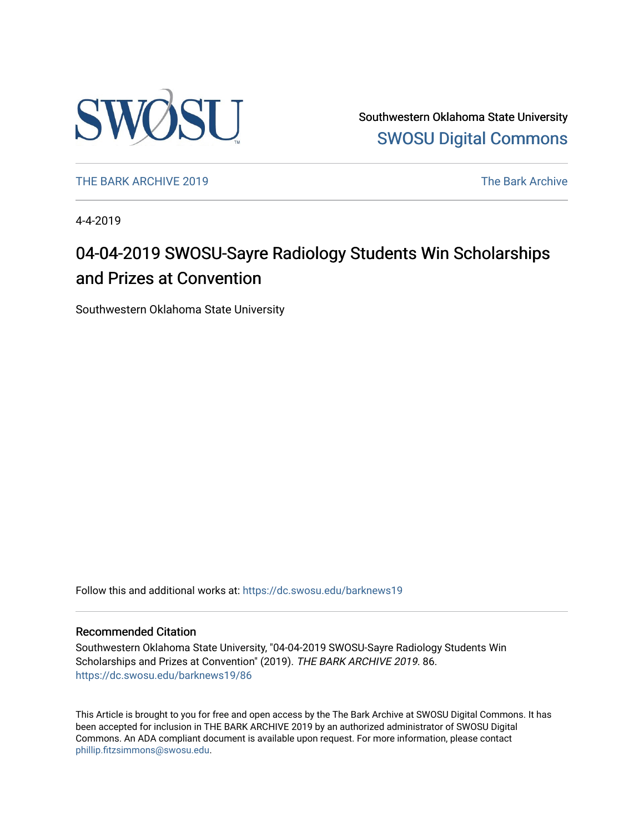

Southwestern Oklahoma State University [SWOSU Digital Commons](https://dc.swosu.edu/) 

[THE BARK ARCHIVE 2019](https://dc.swosu.edu/barknews19) The Bark Archive

4-4-2019

### 04-04-2019 SWOSU-Sayre Radiology Students Win Scholarships and Prizes at Convention

Southwestern Oklahoma State University

Follow this and additional works at: [https://dc.swosu.edu/barknews19](https://dc.swosu.edu/barknews19?utm_source=dc.swosu.edu%2Fbarknews19%2F86&utm_medium=PDF&utm_campaign=PDFCoverPages)

#### Recommended Citation

Southwestern Oklahoma State University, "04-04-2019 SWOSU-Sayre Radiology Students Win Scholarships and Prizes at Convention" (2019). THE BARK ARCHIVE 2019. 86. [https://dc.swosu.edu/barknews19/86](https://dc.swosu.edu/barknews19/86?utm_source=dc.swosu.edu%2Fbarknews19%2F86&utm_medium=PDF&utm_campaign=PDFCoverPages) 

This Article is brought to you for free and open access by the The Bark Archive at SWOSU Digital Commons. It has been accepted for inclusion in THE BARK ARCHIVE 2019 by an authorized administrator of SWOSU Digital Commons. An ADA compliant document is available upon request. For more information, please contact [phillip.fitzsimmons@swosu.edu](mailto:phillip.fitzsimmons@swosu.edu).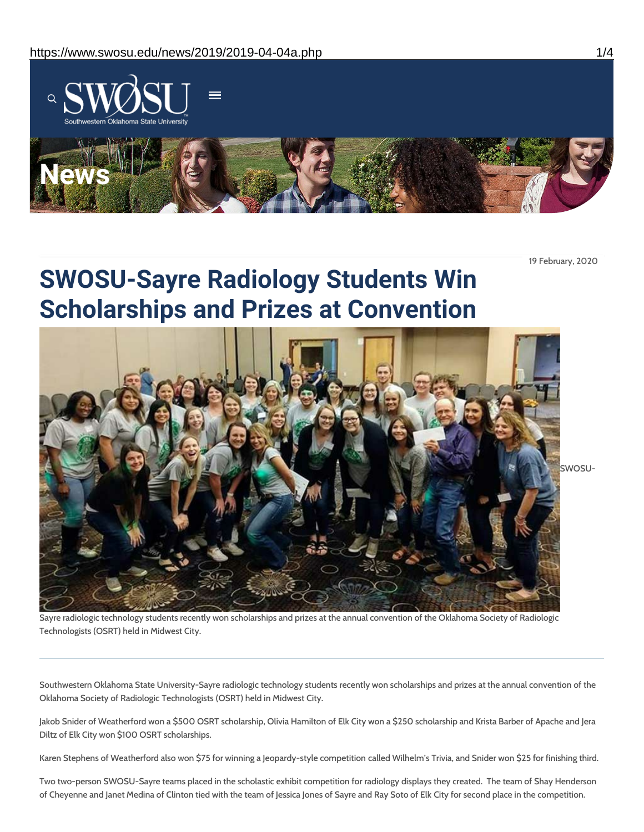

19 February, 2020

## **SWOSU-Sayre Radiology Students Win Scholarships and Prizes at Convention**



Sayre radiologic technology students recently won scholarships and prizes at the annual convention of the Oklahoma Society of Radiologic Technologists (OSRT) held in Midwest City.

Southwestern Oklahoma State University-Sayre radiologic technology students recently won scholarships and prizes at the annual convention of the Oklahoma Society of Radiologic Technologists (OSRT) held in Midwest City.

Jakob Snider of Weatherford won a \$500 OSRT scholarship, Olivia Hamilton of Elk City won a \$250 scholarship and Krista Barber of Apache and Jera Diltz of Elk City won \$100 OSRT scholarships.

Karen Stephens of Weatherford also won \$75 for winning a Jeopardy-style competition called Wilhelm's Trivia, and Snider won \$25 for finishing third.

Two two-person SWOSU-Sayre teams placed in the scholastic exhibit competition for radiology displays they created. The team of Shay Henderson of Cheyenne and Janet Medina of Clinton tied with the team of Jessica Jones of Sayre and Ray Soto of Elk City for second place in the competition.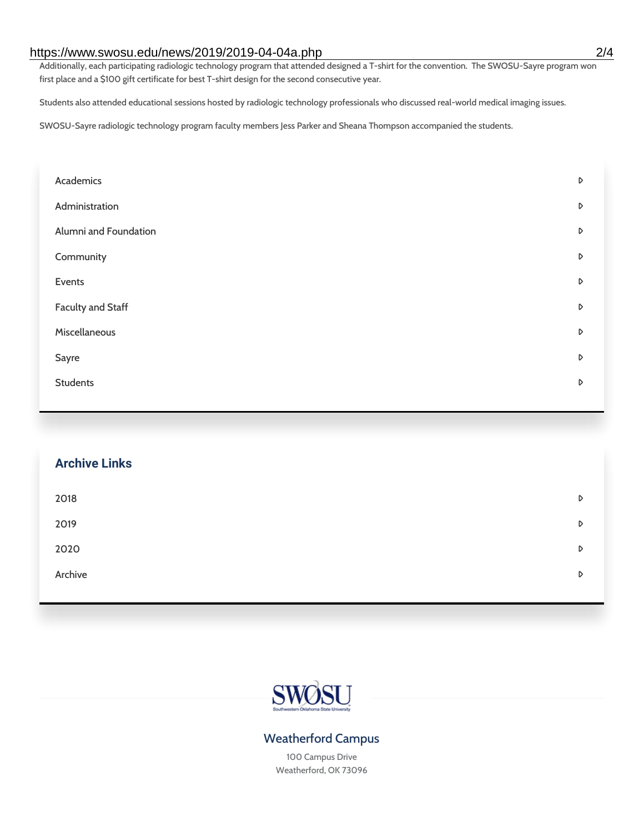### https://www.swosu.edu/news/2019/2019-04-04a.php 2/4

Additionally, each participating radiologic technology program that attended designed a T-shirt for the convention. The SWOSU-Sayre program won first place and a \$100 gift certificate for best T-shirt design for the second consecutive year.

Students also attended educational sessions hosted by radiologic technology professionals who discussed real-world medical imaging issues.

SWOSU-Sayre radiologic technology program faculty members Jess Parker and Sheana Thompson accompanied the students.

| Academics             | D |
|-----------------------|---|
| Administration        | D |
| Alumni and Foundation | D |
| Community             | D |
| Events                | D |
| Faculty and Staff     | D |
| Miscellaneous         | D |
| Sayre                 | D |
| <b>Students</b>       | D |
|                       |   |

# **Archive Links**  $2018$  $2019$ [2020](https://www.swosu.edu/news/2020/index.php)  $\bullet$ [Archive](https://dc.swosu.edu/bark/) **Archive Archive Archive Archive Archive** Archive Archive Archive Archive Archive Archive Archive Archive



### Weatherford Campus

100 Campus Drive Weatherford, OK 73096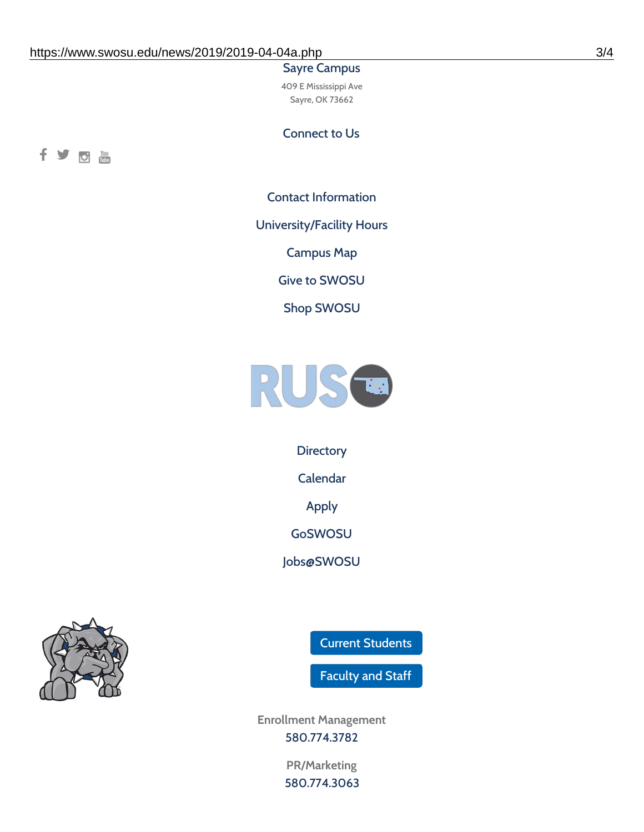#### Sayre Campus

409 E Mississippi Ave Sayre, OK 73662

Connect to Us



Contact [Information](https://www.swosu.edu/about/contact.php)

[University/Facility](https://www.swosu.edu/about/operating-hours.php) Hours

[Campus](https://map.concept3d.com/?id=768#!ct/10964,10214,10213,10212,10205,10204,10203,10202,10136,10129,10128,0,31226,10130,10201,10641,0) Map

Give to [SWOSU](https://standingfirmly.com/donate)

Shop [SWOSU](https://shopswosu.merchorders.com/)



**[Directory](https://www.swosu.edu/directory/index.php)** 

[Calendar](https://eventpublisher.dudesolutions.com/swosu/)

[Apply](https://www.swosu.edu/admissions/apply-to-swosu.php)

[GoSWOSU](https://qlsso.quicklaunchsso.com/home/1267)

[Jobs@SWOSU](https://swosu.csod.com/ux/ats/careersite/1/home?c=swosu)



Current [Students](https://bulldog.swosu.edu/index.php)

[Faculty](https://bulldog.swosu.edu/faculty-staff/index.php) and Staff

**Enrollment Management** [580.774.3782](tel:5807743782)

> **PR/Marketing** [580.774.3063](tel:5807743063)